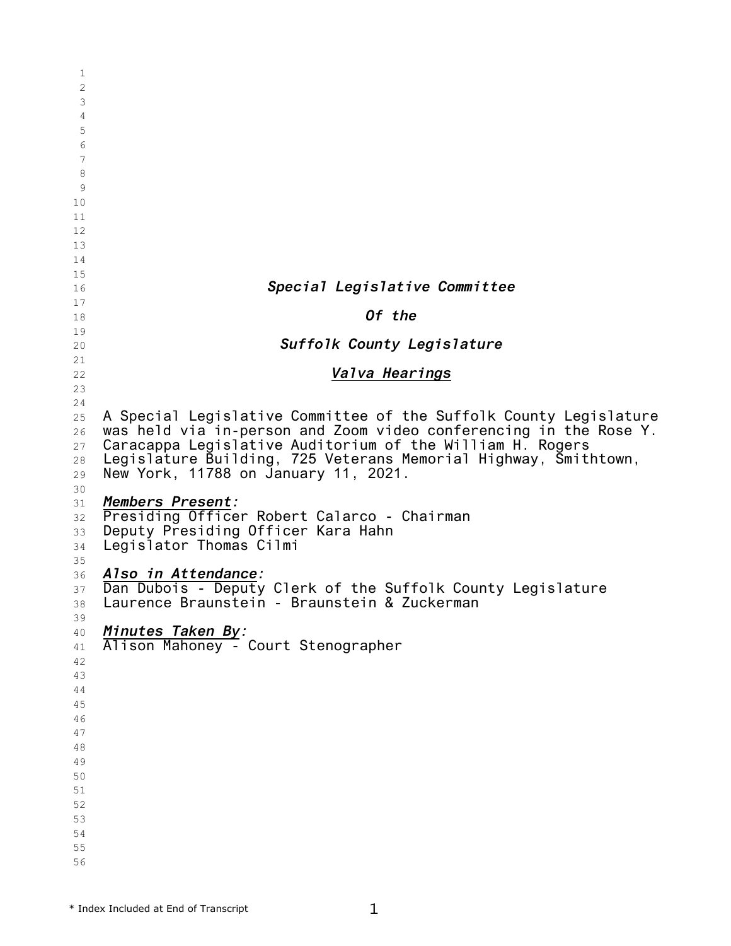| 1          |                                                                   |
|------------|-------------------------------------------------------------------|
| 2          |                                                                   |
| 3          |                                                                   |
| 4          |                                                                   |
|            |                                                                   |
| 5          |                                                                   |
| 6          |                                                                   |
| $\sqrt{ }$ |                                                                   |
| 8          |                                                                   |
| 9          |                                                                   |
| 10         |                                                                   |
| 11         |                                                                   |
|            |                                                                   |
| 12         |                                                                   |
| 13         |                                                                   |
| 14         |                                                                   |
| 15         |                                                                   |
| 16         | Special Legislative Committee                                     |
| 17         |                                                                   |
| 18         | Of the                                                            |
| 19         |                                                                   |
| 20         | Suffolk County Legislature                                        |
| 21         |                                                                   |
|            | Valva Hearings                                                    |
| 22         |                                                                   |
| 23         |                                                                   |
| 24         |                                                                   |
| 25         | A Special Legislative Committee of the Suffolk County Legislature |
| 26         | was held via in-person and Zoom video conferencing in the Rose Y. |
| 27         | Caracappa Legislative Auditorium of the William H. Rogers         |
| 28         | Legislature Building, 725 Veterans Memorial Highway, Smithtown,   |
| 29         | New York, 11788 on January 11, 2021.                              |
| 30         |                                                                   |
| 31         | Members Present:                                                  |
| 32         | Presiding Officer Robert Calarco - Chairman                       |
|            | Deputy Presiding Officer Kara Hahn                                |
| 33         |                                                                   |
| 34         | Legislator Thomas Cilmi                                           |
| 35         |                                                                   |
| 36         | Also in Attendance:                                               |
| 37         | Dan Dubois - Deputy Clerk of the Suffolk County Legislature       |
| 38         | Laurence Braunstein - Braunstein & Zuckerman                      |
| 39         |                                                                   |
| 40         | Minutes Taken By:<br>Alison Mahoney - Court Stenographer          |
| 41         |                                                                   |
| 42         |                                                                   |
| 43         |                                                                   |
|            |                                                                   |
| 44         |                                                                   |
| 45         |                                                                   |
| 46         |                                                                   |
| 47         |                                                                   |
| 48         |                                                                   |
| 49         |                                                                   |
| 50         |                                                                   |
| 51         |                                                                   |
| 52         |                                                                   |
| 53         |                                                                   |
| 54         |                                                                   |
|            |                                                                   |
| 55         |                                                                   |
| 56         |                                                                   |